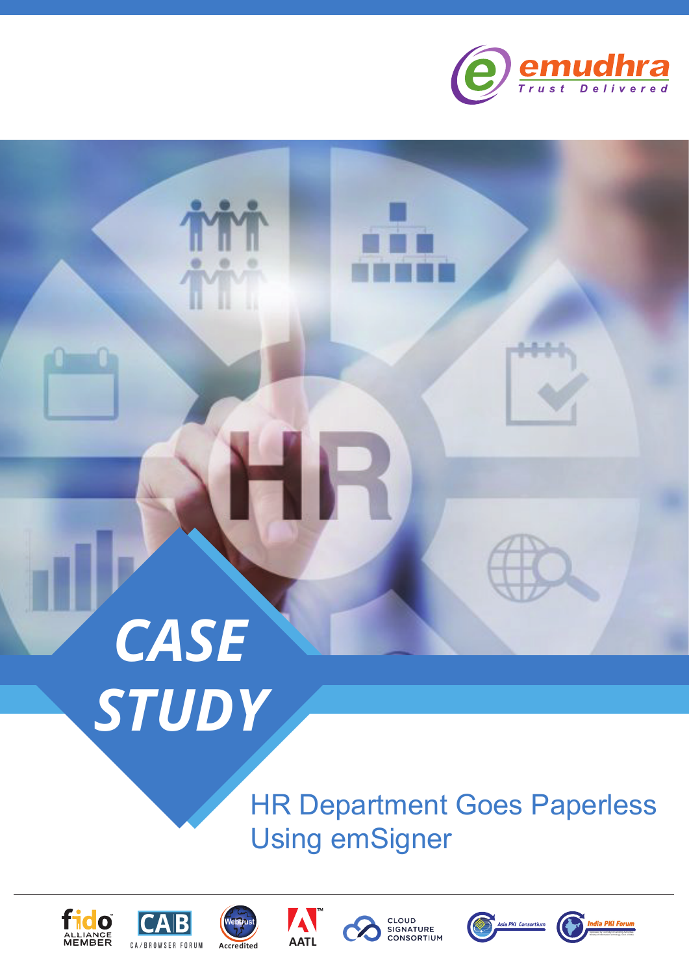

# *CASE STUDY*

E

HR Department Goes Paperless Using emSigner













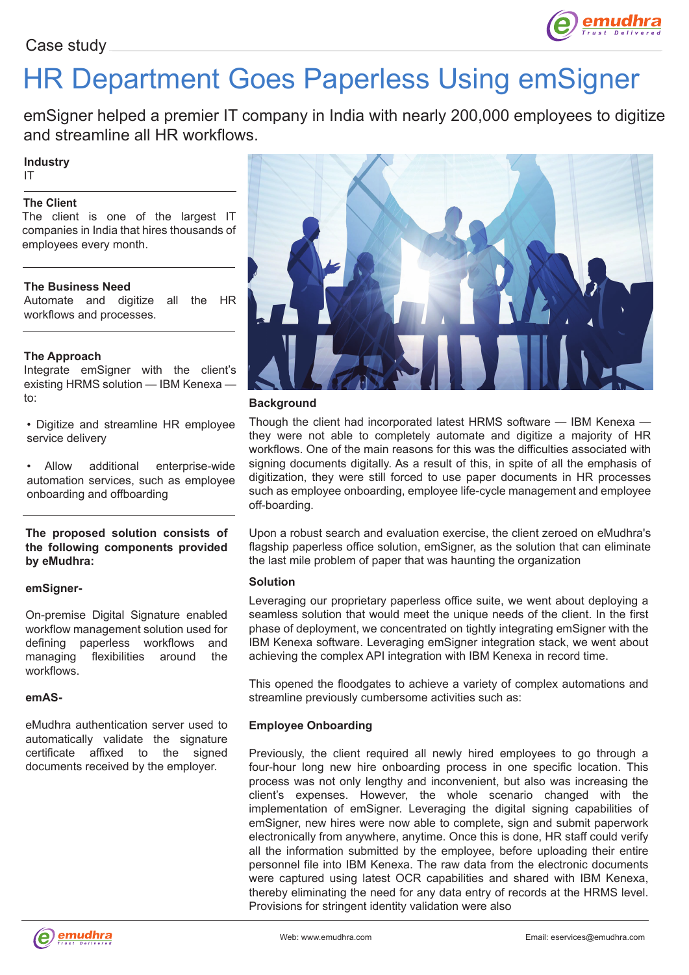

## HR Department Goes Paperless Using emSigner

emSigner helped a premier IT company in India with nearly 200,000 employees to digitize and streamline all HR workflows.

#### **Industry**

IT

#### **The Client**

The client is one of the largest IT companies in India that hires thousands of employees every month.

#### **The Business Need**

Automate and digitize all the HR workflows and processes.

#### **The Approach**

Integrate emSigner with the client's existing HRMS solution - IBM Kenexa to:

• Digitize and streamline HR employee service delivery

• Allow additional enterprise-wide automation services, such as employee onboarding and offboarding

#### **The proposed solution consists of the following components provided by eMudhra:**

#### **emSigner-**

On-premise Digital Signature enabled workflow management solution used for defining paperless workflows and managing flexibilities around the workflows.

#### **emAS-**

eMudhra authentication server used to automatically validate the signature certificate affixed to the signed documents received by the employer.



#### **Background**

Though the client had incorporated latest HRMS software — IBM Kenexa they were not able to completely automate and digitize a majority of HR workflows. One of the main reasons for this was the difficulties associated with signing documents digitally. As a result of this, in spite of all the emphasis of digitization, they were still forced to use paper documents in HR processes such as employee onboarding, employee life-cycle management and employee off-boarding.

Upon a robust search and evaluation exercise, the client zeroed on eMudhra's flagship paperless office solution, emSigner, as the solution that can eliminate the last mile problem of paper that was haunting the organization

#### **Solution**

Leveraging our proprietary paperless office suite, we went about deploying a seamless solution that would meet the unique needs of the client. In the first phase of deployment, we concentrated on tightly integrating emSigner with the IBM Kenexa software. Leveraging emSigner integration stack, we went about achieving the complex API integration with IBM Kenexa in record time.

This opened the floodgates to achieve a variety of complex automations and streamline previously cumbersome activities such as:

#### **Employee Onboarding**

Previously, the client required all newly hired employees to go through a four-hour long new hire onboarding process in one specific location. This process was not only lengthy and inconvenient, but also was increasing the client's expenses. However, the whole scenario changed with the implementation of emSigner. Leveraging the digital signing capabilities of emSigner, new hires were now able to complete, sign and submit paperwork electronically from anywhere, anytime. Once this is done, HR staff could verify all the information submitted by the employee, before uploading their entire personnel file into IBM Kenexa. The raw data from the electronic documents were captured using latest OCR capabilities and shared with IBM Kenexa, thereby eliminating the need for any data entry of records at the HRMS level. Provisions for stringent identity validation were also

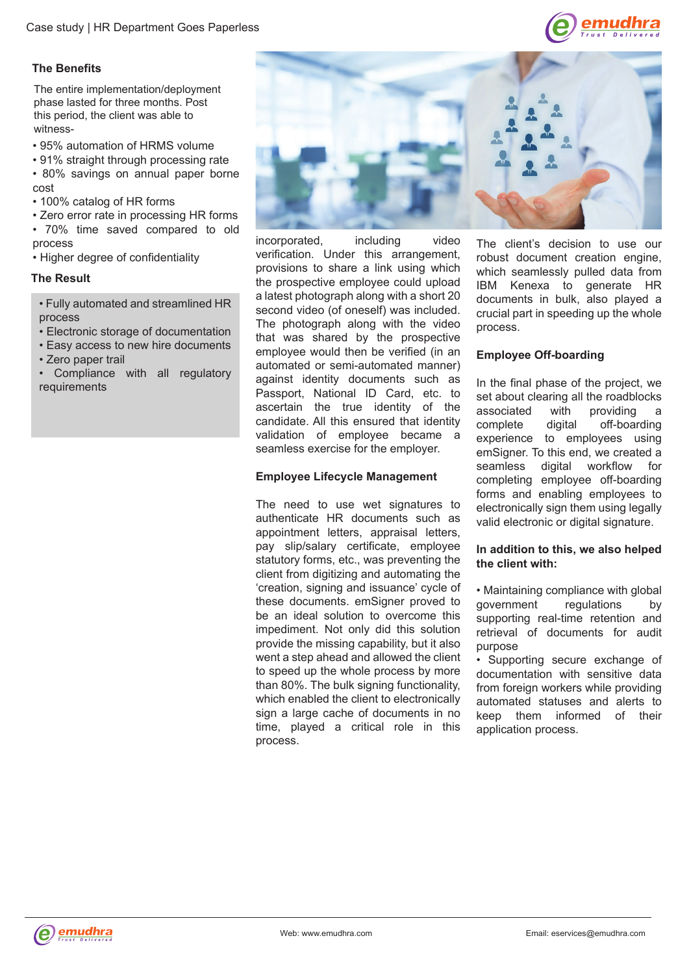

#### **The Benefits**

The entire implementation/deployment phase lasted for three months. Post this period, the client was able to witness-

• 95% automation of HRMS volume

• 91% straight through processing rate • 80% savings on annual paper borne cost

• 100% catalog of HR forms

• Zero error rate in processing HR forms • 70% time saved compared to old

process

• Higher degree of confidentiality

#### **The Result**

• Fully automated and streamlined HR process

- Electronic storage of documentation
- Easy access to new hire documents
- Zero paper trail
- Compliance with all regulatory requirements



incorporated, including video verification. Under this arrangement, provisions to share a link using which the prospective employee could upload a latest photograph along with a short 20 second video (of oneself) was included. The photograph along with the video that was shared by the prospective employee would then be verified (in an automated or semi-automated manner) against identity documents such as Passport, National ID Card, etc. to ascertain the true identity of the candidate. All this ensured that identity validation of employee became a seamless exercise for the employer.

#### **Employee Lifecycle Management**

The need to use wet signatures to authenticate HR documents such as appointment letters, appraisal letters, pay slip/salary certificate, employee statutory forms, etc., was preventing the client from digitizing and automating the 'creation, signing and issuance' cycle of these documents. emSigner proved to be an ideal solution to overcome this impediment. Not only did this solution provide the missing capability, but it also went a step ahead and allowed the client to speed up the whole process by more than 80%. The bulk signing functionality, which enabled the client to electronically sign a large cache of documents in no time, played a critical role in this process.

The client's decision to use our robust document creation engine, which seamlessly pulled data from IBM Kenexa to generate HR documents in bulk, also played a crucial part in speeding up the whole process.

#### **Employee Off-boarding**

In the final phase of the project, we set about clearing all the roadblocks associated with providing a<br>complete digital off-boarding digital off-boarding experience to employees using emSigner. To this end, we created a seamless digital workflow for completing employee off-boarding forms and enabling employees to electronically sign them using legally valid electronic or digital signature.

#### **In addition to this, we also helped the client with:**

• Maintaining compliance with global government regulations by supporting real-time retention and retrieval of documents for audit purpose

• Supporting secure exchange of documentation with sensitive data from foreign workers while providing automated statuses and alerts to keep them informed of their application process.